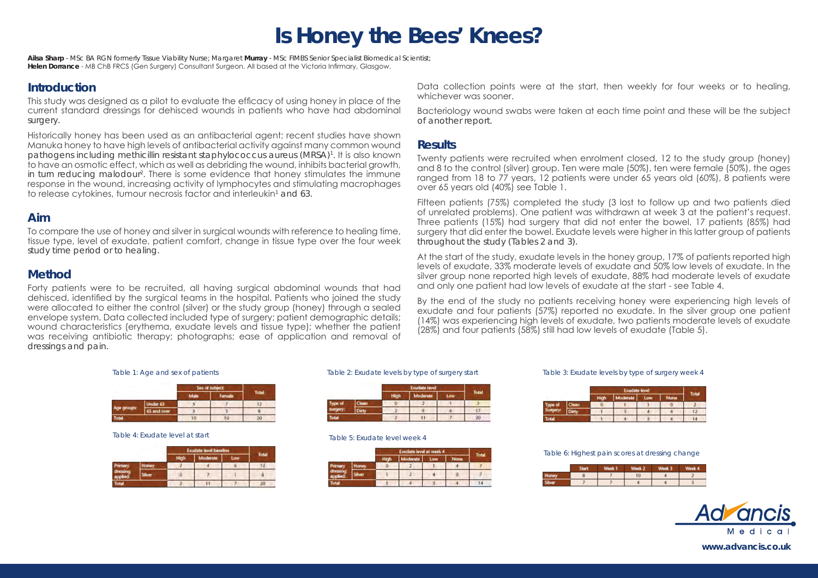# **Is Honey the Bees' Knees?**

**Ailsa Sharp** - MSc BA RGN formerly Tissue Viability Nurse; Margaret **Murray** - MSc FIMBS Senior Specialist Biomedical Scientist; **Helen Dorrance** - MB ChB FRCS (Gen Surgery) Consultant Surgeon. All based at the Victoria Infirmary, Glasgow.

### **Introduction**

This study was designed as a pilot to evaluate the efficacy of using honey in place of the current standard dressings for dehisced wounds in patients who have had abdominal surgery.

Historically honey has been used as an antibacterial agent; recent studies have shown Manuka honey to have high levels of antibacterial activity against many common wound pathogens including methicillin resistant staphylococcus aureus (MRSA)1. It is also known to have an osmotic effect, which as well as debriding the wound, inhibits bacterial growth, in turn reducing malodour2 . There is some evidence that honey stimulates the immune response in the wound, increasing activity of lymphocytes and stimulating macrophages to release cytokines, tumour necrosis factor and interleukin $^{\scriptscriptstyle 1}$  and 63.

### **Aim**

To compare the use of honey and silver in surgical wounds with reference to healing time, tissue type, level of exudate, patient comfort, change in tissue type over the four week study time period or to healing.

# **Method**

Forty patients were to be recruited, all having surgical abdominal wounds that had dehisced, identified by the surgical teams in the hospital. Patients who joined the study were allocated to either the control (silver) or the study group (honey) through a sealed envelope system. Data collected included type of surgery; patient demographic details; wound characteristics (erythema, exudate levels and tissue type); whether the patient was receiving antibiotic therapy; photographs; ease of application and removal of dressings and pain.

Data collection points were at the start, then weekly for four weeks or to healing, whichever was sooner.

Bacteriology wound swabs were taken at each time point and these will be the subject of another report.

### **Results**

Twenty patients were recruited when enrolment closed, 12 to the study group (honey) and 8 to the control (silver) group. Ten were male (50%), ten were female (50%), the ages ranged from 18 to 77 years, 12 patients were under 65 years old (60%), 8 patients were over 65 years old (40%) see Table 1.

Fifteen patients (75%) completed the study (3 lost to follow up and two patients died of unrelated problems). One patient was withdrawn at week 3 at the patient's request. Three patients (15%) had surgery that did not enter the bowel, 17 patients (85%) had surgery that did enter the bowel. Exudate levels were higher in this latter group of patients throughout the study (Tables 2 and 3).

At the start of the study, exudate levels in the honey group, 17% of patients reported high levels of exudate, 33% moderate levels of exudate and 50% low levels of exudate. In the silver group none reported high levels of exudate, 88% had moderate levels of exudate and only one patient had low levels of exudate at the start - see Table 4.

By the end of the study no patients receiving honey were experiencing high levels of exudate and four patients (57%) reported no exudate. In the silver group one patient (14%) was experiencing high levels of exudate, two patients moderate levels of exudate (28%) and four patients (58%) still had low levels of exudate (Table 5).

|              |                 | Sex of subject |        |       |
|--------------|-----------------|----------------|--------|-------|
|              |                 |                | Female | Total |
| ge groups:   | <b>Under 65</b> |                |        |       |
|              | 65 and over     |                |        |       |
| <b>Total</b> |                 |                |        |       |

### *Table 4: Exudate level at start Table 5: Exudate level week 4*

|                |      | <b>Exudate level baseline</b> |          |     |       |
|----------------|------|-------------------------------|----------|-----|-------|
|                |      |                               | Moderate | Low | Total |
| <b>Primary</b> | oney |                               |          |     |       |
|                |      |                               |          |     | 8     |
| lotal          |      |                               |          |     |       |

|                           |       |              | Total                  |  |  |  |  |
|---------------------------|-------|--------------|------------------------|--|--|--|--|
|                           |       | <b>dight</b> | <b>Moderate</b><br>Low |  |  |  |  |
| ype of<br><b>LUIDEFY:</b> | Clean |              |                        |  |  |  |  |
|                           |       |              |                        |  |  |  |  |
| otal                      |       |              |                        |  |  |  |  |

|         |        |  | <b>loderate</b> | Low | <b>None</b> | Total |  |
|---------|--------|--|-----------------|-----|-------------|-------|--|
| Primary | oney   |  |                 |     |             |       |  |
|         | iliver |  |                 |     |             |       |  |
|         |        |  |                 |     |             |       |  |

### *Table 1: Age and sex of patients Table 2: Exudate levels by type of surgery start Table 3: Exudate levels by type of surgery week 4*

|  |      | inh | Moderate | Low | None | Total |  |
|--|------|-----|----------|-----|------|-------|--|
|  | lean |     |          |     |      |       |  |
|  |      |     |          |     |      |       |  |
|  |      |     |          |     |      |       |  |

*Table 6: Highest pain scores at dressing change*

|  | <b>Alberta M</b> |    | Mook 3 | Neek 4 |
|--|------------------|----|--------|--------|
|  |                  | 10 |        |        |
|  |                  |    |        |        |